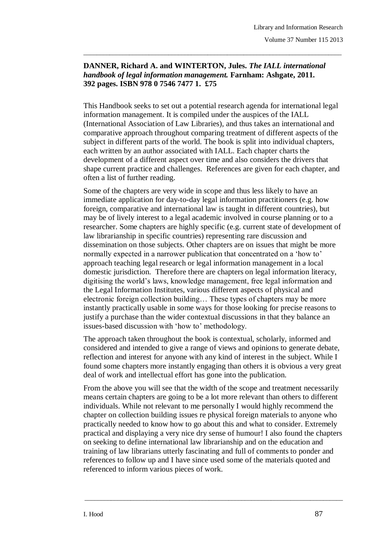## **DANNER, Richard A. and WINTERTON, Jules.** *The IALL international handbook of legal information management.* **Farnham: Ashgate, 2011. 392 pages. ISBN 978 0 7546 7477 1. £75**

\_\_\_\_\_\_\_\_\_\_\_\_\_\_\_\_\_\_\_\_\_\_\_\_\_\_\_\_\_\_\_\_\_\_\_\_\_\_\_\_\_\_\_\_\_\_\_\_\_\_\_\_\_\_\_\_\_\_\_\_\_\_\_\_\_\_\_\_\_\_\_\_\_\_\_\_\_\_\_

This Handbook seeks to set out a potential research agenda for international legal information management. It is compiled under the auspices of the IALL (International Association of Law Libraries), and thus takes an international and comparative approach throughout comparing treatment of different aspects of the subject in different parts of the world. The book is split into individual chapters, each written by an author associated with IALL. Each chapter charts the development of a different aspect over time and also considers the drivers that shape current practice and challenges. References are given for each chapter, and often a list of further reading.

Some of the chapters are very wide in scope and thus less likely to have an immediate application for day-to-day legal information practitioners (e.g. how foreign, comparative and international law is taught in different countries), but may be of lively interest to a legal academic involved in course planning or to a researcher. Some chapters are highly specific (e.g. current state of development of law librarianship in specific countries) representing rare discussion and dissemination on those subjects. Other chapters are on issues that might be more normally expected in a narrower publication that concentrated on a 'how to' approach teaching legal research or legal information management in a local domestic jurisdiction. Therefore there are chapters on legal information literacy, digitising the world's laws, knowledge management, free legal information and the Legal Information Institutes, various different aspects of physical and electronic foreign collection building… These types of chapters may be more instantly practically usable in some ways for those looking for precise reasons to justify a purchase than the wider contextual discussions in that they balance an issues-based discussion with 'how to' methodology.

The approach taken throughout the book is contextual, scholarly, informed and considered and intended to give a range of views and opinions to generate debate, reflection and interest for anyone with any kind of interest in the subject. While I found some chapters more instantly engaging than others it is obvious a very great deal of work and intellectual effort has gone into the publication.

From the above you will see that the width of the scope and treatment necessarily means certain chapters are going to be a lot more relevant than others to different individuals. While not relevant to me personally I would highly recommend the chapter on collection building issues re physical foreign materials to anyone who practically needed to know how to go about this and what to consider. Extremely practical and displaying a very nice dry sense of humour! I also found the chapters on seeking to define international law librarianship and on the education and training of law librarians utterly fascinating and full of comments to ponder and references to follow up and I have since used some of the materials quoted and referenced to inform various pieces of work.

\_\_\_\_\_\_\_\_\_\_\_\_\_\_\_\_\_\_\_\_\_\_\_\_\_\_\_\_\_\_\_\_\_\_\_\_\_\_\_\_\_\_\_\_\_\_\_\_\_\_\_\_\_\_\_\_\_\_\_\_\_\_\_\_\_\_\_\_\_\_\_\_\_\_\_\_\_\_\_